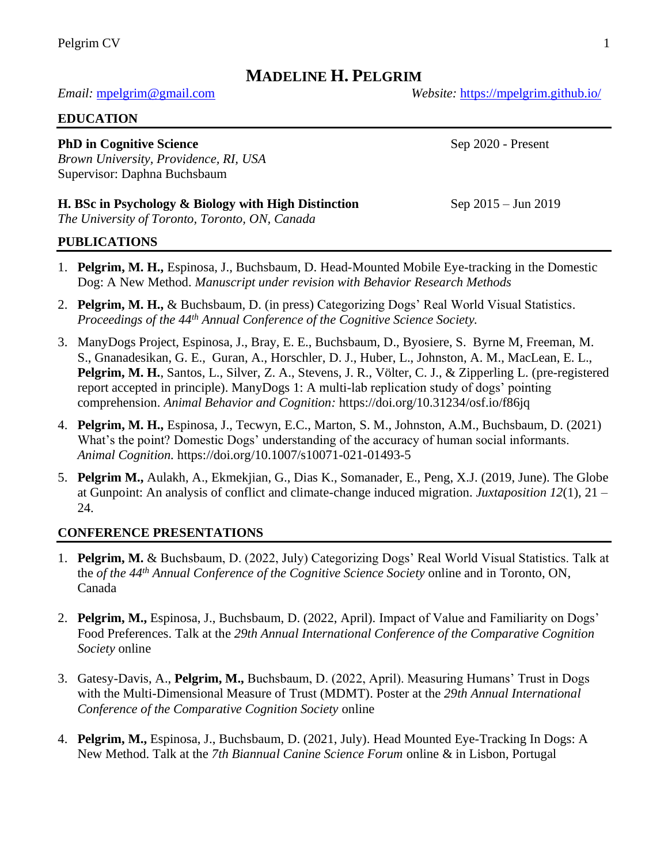# **MADELINE H. PELGRIM**

#### *Email:* [mpelgrim@gmail.com](mailto:mpelgrim@gmail.com) *Website:* <https://mpelgrim.github.io/>

#### **EDUCATION**

#### **PhD in Cognitive Science** Sep 2020 - Present

*Brown University, Providence, RI, USA* Supervisor: Daphna Buchsbaum

#### **H. BSc in Psychology & Biology with High Distinction** Sep 2015 – Jun 2019

*The University of Toronto, Toronto, ON, Canada*

#### **PUBLICATIONS**

- 1. **Pelgrim, M. H.,** Espinosa, J., Buchsbaum, D. Head-Mounted Mobile Eye-tracking in the Domestic Dog: A New Method. *Manuscript under revision with Behavior Research Methods*
- 2. **Pelgrim, M. H.,** & Buchsbaum, D. (in press) Categorizing Dogs' Real World Visual Statistics. *Proceedings of the 44th Annual Conference of the Cognitive Science Society.*
- 3. ManyDogs Project, Espinosa, J., Bray, E. E., Buchsbaum, D., Byosiere, S. Byrne M, Freeman, M. S., Gnanadesikan, G. E., Guran, A., Horschler, D. J., Huber, L., Johnston, A. M., MacLean, E. L., **Pelgrim, M. H.**, Santos, L., Silver, Z. A., Stevens, J. R., Völter, C. J., & Zipperling L. (pre-registered report accepted in principle). ManyDogs 1: A multi-lab replication study of dogs' pointing comprehension. *Animal Behavior and Cognition:* https:/[/doi.org/10.31234/osf.io/f86jq](https://doi.org/10.31234/osf.io/f86jq)
- 4. **Pelgrim, M. H.,** Espinosa, J., Tecwyn, E.C., Marton, S. M., Johnston, A.M., Buchsbaum, D. (2021) What's the point? Domestic Dogs' understanding of the accuracy of human social informants. *Animal Cognition.* https://doi.org/10.1007/s10071-021-01493-5
- 5. **Pelgrim M.,** Aulakh, A., Ekmekjian, G., Dias K., Somanader, E., Peng, X.J. (2019, June). The Globe at Gunpoint: An analysis of conflict and climate-change induced migration. *Juxtaposition 12*(1), 21 – 24.

#### **CONFERENCE PRESENTATIONS**

- 1. **Pelgrim, M.** & Buchsbaum, D. (2022, July) Categorizing Dogs' Real World Visual Statistics. Talk at the *of the 44th Annual Conference of the Cognitive Science Society* online and in Toronto, ON, Canada
- 2. **Pelgrim, M.,** Espinosa, J., Buchsbaum, D. (2022, April). Impact of Value and Familiarity on Dogs' Food Preferences. Talk at the *29th Annual International Conference of the Comparative Cognition Society* online
- 3. Gatesy-Davis, A., **Pelgrim, M.,** Buchsbaum, D. (2022, April). Measuring Humans' Trust in Dogs with the Multi-Dimensional Measure of Trust (MDMT). Poster at the *29th Annual International Conference of the Comparative Cognition Society* online
- 4. **Pelgrim, M.,** Espinosa, J., Buchsbaum, D. (2021, July). Head Mounted Eye-Tracking In Dogs: A New Method. Talk at the *7th Biannual Canine Science Forum* online & in Lisbon, Portugal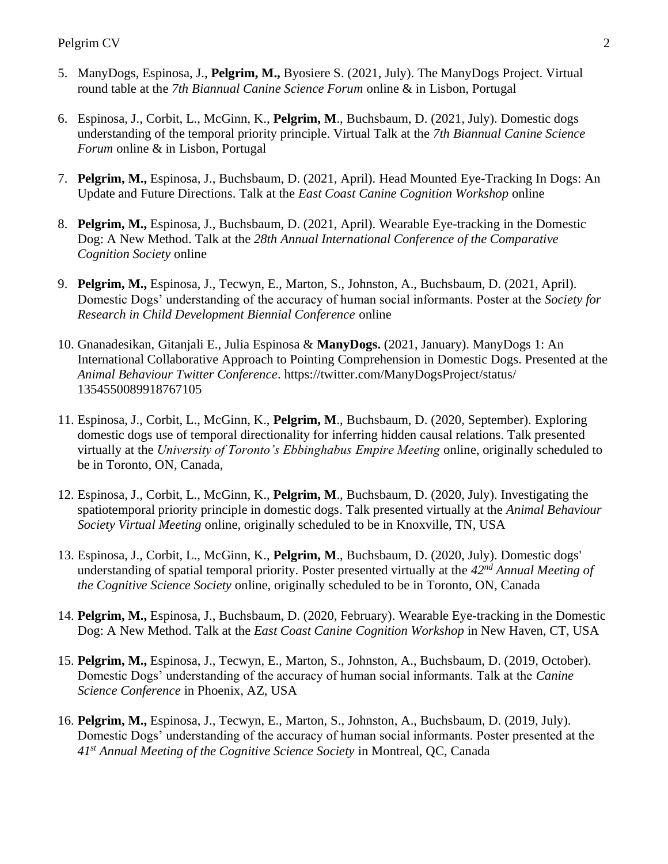- 5. ManyDogs, Espinosa, J., **Pelgrim, M.,** Byosiere S. (2021, July). The ManyDogs Project. Virtual round table at the *7th Biannual Canine Science Forum* online & in Lisbon, Portugal
- 6. Espinosa, J., Corbit, L., McGinn, K., **Pelgrim, M**., Buchsbaum, D. (2021, July). Domestic dogs understanding of the temporal priority principle. Virtual Talk at the *7th Biannual Canine Science Forum* online & in Lisbon, Portugal
- 7. **Pelgrim, M.,** Espinosa, J., Buchsbaum, D. (2021, April). Head Mounted Eye-Tracking In Dogs: An Update and Future Directions. Talk at the *East Coast Canine Cognition Workshop* online
- 8. **Pelgrim, M.,** Espinosa, J., Buchsbaum, D. (2021, April). Wearable Eye-tracking in the Domestic Dog: A New Method. Talk at the *28th Annual International Conference of the Comparative Cognition Society* online
- 9. **Pelgrim, M.,** Espinosa, J., Tecwyn, E., Marton, S., Johnston, A., Buchsbaum, D. (2021, April). Domestic Dogs' understanding of the accuracy of human social informants. Poster at the *Society for Research in Child Development Biennial Conference* online
- 10. Gnanadesikan, Gitanjali E., Julia Espinosa & **ManyDogs.** (2021, January). ManyDogs 1: An International Collaborative Approach to Pointing Comprehension in Domestic Dogs. Presented at the *Animal Behaviour Twitter Conference*. https://twitter.com/ManyDogsProject/status/ 1354550089918767105
- 11. Espinosa, J., Corbit, L., McGinn, K., **Pelgrim, M**., Buchsbaum, D. (2020, September). Exploring domestic dogs use of temporal directionality for inferring hidden causal relations. Talk presented virtually at the *University of Toronto's Ebbinghabus Empire Meeting* online, originally scheduled to be in Toronto, ON, Canada*,*
- 12. Espinosa, J., Corbit, L., McGinn, K., **Pelgrim, M**., Buchsbaum, D. (2020, July). Investigating the spatiotemporal priority principle in domestic dogs. Talk presented virtually at the *Animal Behaviour Society Virtual Meeting* online, originally scheduled to be in Knoxville, TN, USA
- 13. Espinosa, J., Corbit, L., McGinn, K., **Pelgrim, M**., Buchsbaum, D. (2020, July). Domestic dogs' understanding of spatial temporal priority. Poster presented virtually at the *42nd Annual Meeting of the Cognitive Science Society* online, originally scheduled to be in Toronto, ON, Canada
- 14. **Pelgrim, M.,** Espinosa, J., Buchsbaum, D. (2020, February). Wearable Eye-tracking in the Domestic Dog: A New Method. Talk at the *East Coast Canine Cognition Workshop* in New Haven, CT, USA
- 15. **Pelgrim, M.,** Espinosa, J., Tecwyn, E., Marton, S., Johnston, A., Buchsbaum, D. (2019, October). Domestic Dogs' understanding of the accuracy of human social informants. Talk at the *Canine Science Conference* in Phoenix, AZ, USA
- 16. **Pelgrim, M.,** Espinosa, J., Tecwyn, E., Marton, S., Johnston, A., Buchsbaum, D. (2019, July). Domestic Dogs' understanding of the accuracy of human social informants. Poster presented at the *41st Annual Meeting of the Cognitive Science Society* in Montreal, QC, Canada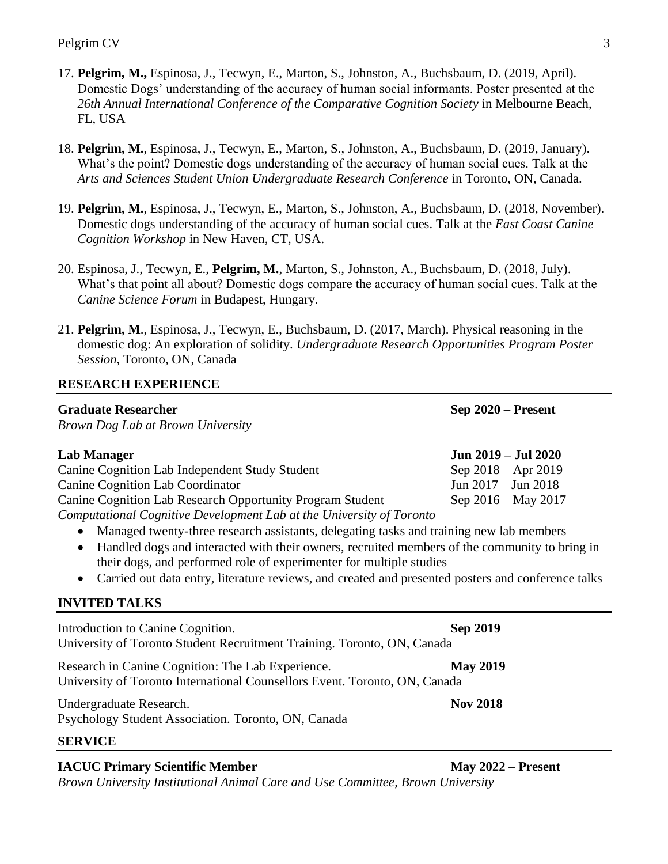- 17. **Pelgrim, M.,** Espinosa, J., Tecwyn, E., Marton, S., Johnston, A., Buchsbaum, D. (2019, April). Domestic Dogs' understanding of the accuracy of human social informants. Poster presented at the *26th Annual International Conference of the Comparative Cognition Society* in Melbourne Beach, FL, USA
- 18. **Pelgrim, M.**, Espinosa, J., Tecwyn, E., Marton, S., Johnston, A., Buchsbaum, D. (2019, January). What's the point? Domestic dogs understanding of the accuracy of human social cues. Talk at the *Arts and Sciences Student Union Undergraduate Research Conference* in Toronto, ON, Canada.
- 19. **Pelgrim, M.**, Espinosa, J., Tecwyn, E., Marton, S., Johnston, A., Buchsbaum, D. (2018, November). Domestic dogs understanding of the accuracy of human social cues. Talk at the *East Coast Canine Cognition Workshop* in New Haven, CT, USA.
- 20. Espinosa, J., Tecwyn, E., **Pelgrim, M.**, Marton, S., Johnston, A., Buchsbaum, D. (2018, July). What's that point all about? Domestic dogs compare the accuracy of human social cues. Talk at the *Canine Science Forum* in Budapest, Hungary.
- 21. **Pelgrim, M**., Espinosa, J., Tecwyn, E., Buchsbaum, D. (2017, March). Physical reasoning in the domestic dog: An exploration of solidity. *Undergraduate Research Opportunities Program Poster Session*, Toronto, ON, Canada

## **RESEARCH EXPERIENCE**

## **Graduate Researcher Sep 2020 – Present**

|  |  | Brown Dog Lab at Brown University |
|--|--|-----------------------------------|
|  |  |                                   |

| Lab Manager                                                          | Jun 2019 – Jul 2020     |
|----------------------------------------------------------------------|-------------------------|
| <b>Canine Cognition Lab Independent Study Student</b>                | Sep $2018 -$ Apr $2019$ |
| <b>Canine Cognition Lab Coordinator</b>                              | Jun $2017 -$ Jun $2018$ |
| Canine Cognition Lab Research Opportunity Program Student            | Sep $2016 -$ May $2017$ |
| Computational Cognitive Development Lab at the University of Toronto |                         |

- Managed twenty-three research assistants, delegating tasks and training new lab members
- Handled dogs and interacted with their owners, recruited members of the community to bring in their dogs, and performed role of experimenter for multiple studies
- Carried out data entry, literature reviews, and created and presented posters and conference talks

## **INVITED TALKS**

| Introduction to Canine Cognition.<br>University of Toronto Student Recruitment Training. Toronto, ON, Canada                    | <b>Sep 2019</b> |
|---------------------------------------------------------------------------------------------------------------------------------|-----------------|
| Research in Canine Cognition: The Lab Experience.<br>University of Toronto International Counsellors Event. Toronto, ON, Canada | <b>May 2019</b> |
| Undergraduate Research.<br>Psychology Student Association. Toronto, ON, Canada                                                  | <b>Nov 2018</b> |
| <b>SERVICE</b>                                                                                                                  |                 |

## **IACUC Primary Scientific Member May 2022 – Present**

*Brown University Institutional Animal Care and Use Committee, Brown University*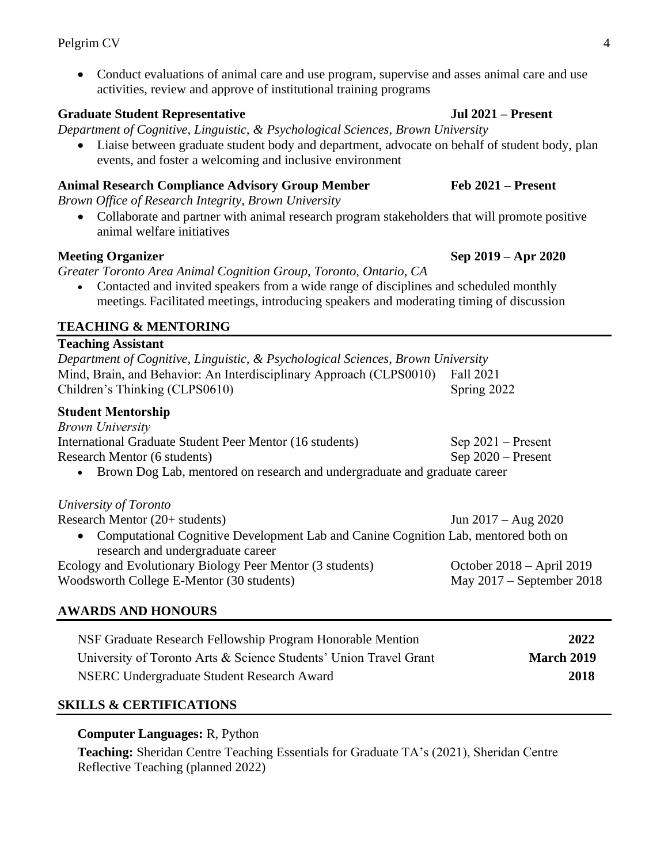• Conduct evaluations of animal care and use program, supervise and asses animal care and use activities, review and approve of institutional training programs

# **Graduate Student Representative Jul 2021 – Present**

*Department of Cognitive, Linguistic, & Psychological Sciences, Brown University*

• Liaise between graduate student body and department, advocate on behalf of student body, plan events, and foster a welcoming and inclusive environment

# **Animal Research Compliance Advisory Group Member Feb 2021 – Present**

*Brown Office of Research Integrity, Brown University*

• Collaborate and partner with animal research program stakeholders that will promote positive animal welfare initiatives

*Greater Toronto Area Animal Cognition Group, Toronto, Ontario, CA*

• Contacted and invited speakers from a wide range of disciplines and scheduled monthly meetings*.* Facilitated meetings, introducing speakers and moderating timing of discussion

# **TEACHING & MENTORING**

## **Teaching Assistant**

| Department of Cognitive, Linguistic, & Psychological Sciences, Brown University |             |
|---------------------------------------------------------------------------------|-------------|
| Mind, Brain, and Behavior: An Interdisciplinary Approach (CLPS0010)             | Fall 2021   |
| Children's Thinking (CLPS0610)                                                  | Spring 2022 |
| <b>Student Mentorship</b>                                                       |             |
| <b>Brown University</b>                                                         |             |

| International Graduate Student Peer Mentor (16 students)                    | Sep $2021$ – Present |
|-----------------------------------------------------------------------------|----------------------|
| Research Mentor (6 students)                                                | $Sep 2020 - Present$ |
| • Brown Dog Lab, mentored on research and undergraduate and graduate career |                      |

## *University of Toronto*

| C                                                                                    |                             |
|--------------------------------------------------------------------------------------|-----------------------------|
| Research Mentor (20+ students)                                                       | Jun $2017 - Aug\ 2020$      |
| • Computational Cognitive Development Lab and Canine Cognition Lab, mentored both on |                             |
| research and undergraduate career                                                    |                             |
| Ecology and Evolutionary Biology Peer Mentor (3 students)                            | October $2018 - April 2019$ |
| Woodsworth College E-Mentor (30 students)                                            | May $2017$ – September 2018 |
|                                                                                      |                             |

# **AWARDS AND HONOURS**

| NSF Graduate Research Fellowship Program Honorable Mention        | 2022              |
|-------------------------------------------------------------------|-------------------|
| University of Toronto Arts & Science Students' Union Travel Grant | <b>March 2019</b> |
| NSERC Undergraduate Student Research Award                        | 2018              |

## **SKILLS & CERTIFICATIONS**

## **Computer Languages:** R, Python

**Teaching:** Sheridan Centre Teaching Essentials for Graduate TA's (2021), Sheridan Centre Reflective Teaching (planned 2022)

**Meeting Organizer** Sep 2019 – Apr 2020